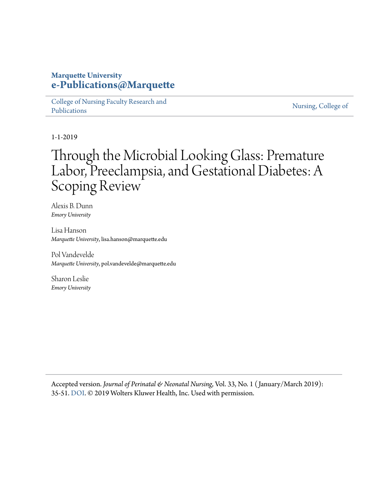# **Marquette University [e-Publications@Marquette](https://epublications.marquette.edu/)**

[College of Nursing Faculty Research and](https://epublications.marquette.edu/nursing_fac) [Publications](https://epublications.marquette.edu/nursing_fac)

[Nursing, College of](https://epublications.marquette.edu/nursing)

1-1-2019

# Through the Microbial Looking Glass: Premature Labor, Preeclampsia, and Gestational Diabetes: A Scoping Review

Alexis B. Dunn *Emory University*

Lisa Hanson *Marquette University*, lisa.hanson@marquette.edu

Pol Vandevelde *Marquette University*, pol.vandevelde@marquette.edu

Sharon Leslie *Emory University*

Accepted version. *Journal of Perinatal & Neonatal Nursing*, Vol. 33, No. 1 ( January/March 2019): 35-51. [DOI](http://dx.doi.org/10.1097/JPN.0000000000000375). © 2019 Wolters Kluwer Health, Inc. Used with permission.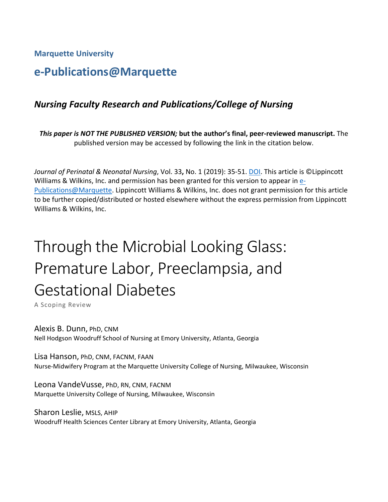**Marquette University**

# **e-Publications@Marquette**

# *Nursing Faculty Research and Publications/College of Nursing*

*This paper is NOT THE PUBLISHED VERSION;* **but the author's final, peer-reviewed manuscript.** The published version may be accessed by following the link in the citation below.

*Journal of Perinatal & Neonatal Nursing*, Vol. 33**,** No. 1 (2019): 35-51. DOI. This article is ©Lippincott Williams & Wilkins, Inc. and permission has been granted for this version to appear in  $e$ -[Publications@Marquette.](http://epublications.marquette.edu/) Lippincott Williams & Wilkins, Inc. does not grant permission for this article to be further copied/distributed or hosted elsewhere without the express permission from Lippincott Williams & Wilkins, Inc.

# Through the Microbial Looking Glass: Premature Labor, Preeclampsia, and Gestational Diabetes

A Scoping Review

Alexis B. Dunn, PhD, CNM Nell Hodgson Woodruff School of Nursing at Emory University, Atlanta, Georgia

Lisa Hanson, PhD, CNM, FACNM, FAAN Nurse-Midwifery Program at the Marquette University College of Nursing, Milwaukee, Wisconsin

Leona VandeVusse, PhD, RN, CNM, FACNM Marquette University College of Nursing, Milwaukee, Wisconsin

Sharon Leslie, MSLS, AHIP Woodruff Health Sciences Center Library at Emory University, Atlanta, Georgia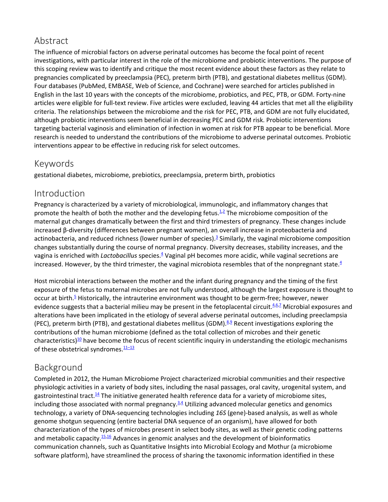# Abstract

The influence of microbial factors on adverse perinatal outcomes has become the focal point of recent investigations, with particular interest in the role of the microbiome and probiotic interventions. The purpose of this scoping review was to identify and critique the most recent evidence about these factors as they relate to pregnancies complicated by preeclampsia (PEC), preterm birth (PTB), and gestational diabetes mellitus (GDM). Four databases (PubMed, EMBASE, Web of Science, and Cochrane) were searched for articles published in English in the last 10 years with the concepts of the microbiome, probiotics, and PEC, PTB, or GDM. Forty-nine articles were eligible for full-text review. Five articles were excluded, leaving 44 articles that met all the eligibility criteria. The relationships between the microbiome and the risk for PEC, PTB, and GDM are not fully elucidated, although probiotic interventions seem beneficial in decreasing PEC and GDM risk. Probiotic interventions targeting bacterial vaginosis and elimination of infection in women at risk for PTB appear to be beneficial. More research is needed to understand the contributions of the microbiome to adverse perinatal outcomes. Probiotic interventions appear to be effective in reducing risk for select outcomes.

# Keywords

gestational diabetes, microbiome, prebiotics, preeclampsia, preterm birth, probiotics

## Introduction

Pregnancy is characterized by a variety of microbiological, immunologic, and inflammatory changes that promote the health of both the mother and the developing fetus. $\frac{1}{2}$  $\frac{1}{2}$  $\frac{1}{2}$  The microbiome composition of the maternal gut changes dramatically between the first and third trimesters of pregnancy. These changes include increased β-diversity (differences between pregnant women), an overall increase in proteobacteria and actinobacteria, and reduced richness (lower number of species).<sup>3</sup> Similarly, the vaginal microbiome composition changes substantially during the course of normal pregnancy. Diversity decreases, stability increases, and the vagina is enriched with *Lactobacillus* species[.4](https://journals.lww.com/jpnnjournal/fulltext/2019/01000/Through_the_Microbial_Looking_Glass__Premature.9.aspx#R4-9) Vaginal pH becomes more acidic, while vaginal secretions are increased. However, by the third trimester, the vaginal microbiota resembles that of the nonpregnant state. $4$ 

Host microbial interactions between the mother and the infant during pregnancy and the timing of the first exposure of the fetus to maternal microbes are not fully understood, although the largest exposure is thought to occur at birth.<sup>5</sup> Historically, the intrauterine environment was thought to be germ-free; however, newer evidence suggests that a bacterial milieu may be present in the fetoplacental circuit.<sup>4,[6,](https://journals.lww.com/jpnnjournal/fulltext/2019/01000/Through_the_Microbial_Looking_Glass__Premature.9.aspx#R6-9)[7](https://journals.lww.com/jpnnjournal/fulltext/2019/01000/Through_the_Microbial_Looking_Glass__Premature.9.aspx#R7-9)</sup> Microbial exposures and alterations have been implicated in the etiology of several adverse perinatal outcomes, including preeclampsia (PEC), preterm birth (PTB), and gestational diabetes mellitus (GDM). $8.9$  $8.9$  Recent investigations exploring the contributions of the human microbiome (defined as the total collection of microbes and their genetic characteristics)<sup>10</sup> have become the focus of recent scientific inquiry in understanding the etiologic mechanisms of these obstetrical syndromes. $\frac{11-13}{1}$ 

# Background

Completed in 2012, the Human Microbiome Project characterized microbial communities and their respective physiologic activities in a variety of body sites, including the nasal passages, oral cavity, urogenital system, and gastrointestinal tract.<sup>14</sup> The initiative generated health reference data for a variety of microbiome sites, including those associated with normal pregnancy. $34$  $34$  Utilizing advanced molecular genetics and genomics technology, a variety of DNA-sequencing technologies including *16S* (gene)-based analysis, as well as whole genome shotgun sequencing (entire bacterial DNA sequence of an organism), have allowed for both characterization of the types of microbes present in select body sites, as well as their genetic coding patterns and metabolic capacity[.15,](https://journals.lww.com/jpnnjournal/fulltext/2019/01000/Through_the_Microbial_Looking_Glass__Premature.9.aspx#R15-9)[16](https://journals.lww.com/jpnnjournal/fulltext/2019/01000/Through_the_Microbial_Looking_Glass__Premature.9.aspx#R16-9) Advances in genomic analyses and the development of bioinformatics communication channels, such as Quantitative Insights into Microbial Ecology and Mothur (a microbiome software platform), have streamlined the process of sharing the taxonomic information identified in these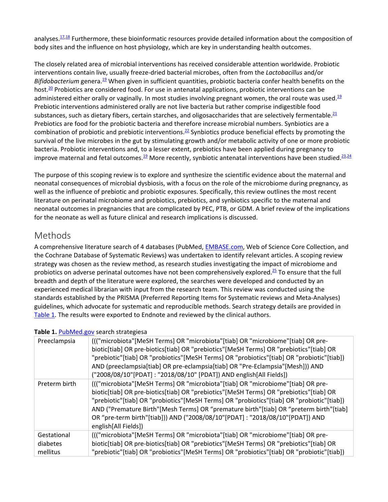analyses.<sup>17,[18](https://journals.lww.com/jpnnjournal/fulltext/2019/01000/Through_the_Microbial_Looking_Glass__Premature.9.aspx#R18-9)</sup> Furthermore, these bioinformatic resources provide detailed information about the composition of body sites and the influence on host physiology, which are key in understanding health outcomes.

The closely related area of microbial interventions has received considerable attention worldwide. Probiotic interventions contain live, usually freeze-dried bacterial microbes, often from the *Lactobacillus* and/or *Bifidobacterium* genera[.19](https://journals.lww.com/jpnnjournal/fulltext/2019/01000/Through_the_Microbial_Looking_Glass__Premature.9.aspx#R19-9) When given in sufficient quantities, probiotic bacteria confer health benefits on the host.<sup>20</sup> Probiotics are considered food. For use in antenatal applications, probiotic interventions can be administered either orally or vaginally. In most studies involving pregnant women, the oral route was used. $19$ Prebiotic interventions administered orally are not live bacteria but rather comprise indigestible food substances, such as dietary fibers, certain starches, and oligosaccharides that are selectively fermentable. $21$ Prebiotics are food for the probiotic bacteria and therefore increase microbial numbers. Synbiotics are a combination of probiotic and prebiotic interventions[.22](https://journals.lww.com/jpnnjournal/fulltext/2019/01000/Through_the_Microbial_Looking_Glass__Premature.9.aspx#R22-9) Synbiotics produce beneficial effects by promoting the survival of the live microbes in the gut by stimulating growth and/or metabolic activity of one or more probiotic bacteria. Probiotic interventions and, to a lesser extent, prebiotics have been applied during pregnancy to improve maternal and fetal outcomes.<sup>19</sup> More recently, synbiotic antenatal interventions have been studied.<sup>23,[24](https://journals.lww.com/jpnnjournal/fulltext/2019/01000/Through_the_Microbial_Looking_Glass__Premature.9.aspx#R24-9)</sup>

The purpose of this scoping review is to explore and synthesize the scientific evidence about the maternal and neonatal consequences of microbial dysbiosis, with a focus on the role of the microbiome during pregnancy, as well as the influence of prebiotic and probiotic exposures. Specifically, this review outlines the most recent literature on perinatal microbiome and probiotics, prebiotics, and synbiotics specific to the maternal and neonatal outcomes in pregnancies that are complicated by PEC, PTB, or GDM. A brief review of the implications for the neonate as well as future clinical and research implications is discussed.

# Methods

A comprehensive literature search of 4 databases (PubMed, [EMBASE.com,](http://embase.com/) Web of Science Core Collection, and the Cochrane Database of Systematic Reviews) was undertaken to identify relevant articles. A scoping review strategy was chosen as the review method, as research studies investigating the impact of microbiome and probiotics on adverse perinatal outcomes have not been comprehensively explored[.25](https://journals.lww.com/jpnnjournal/fulltext/2019/01000/Through_the_Microbial_Looking_Glass__Premature.9.aspx#R25-9) To ensure that the full breadth and depth of the literature were explored, the searches were developed and conducted by an experienced medical librarian with input from the research team. This review was conducted using the standards established by the PRISMA (Preferred Reporting Items for Systematic reviews and Meta-Analyses) guidelines, which advocate for systematic and reproducible methods. Search strategy details are provided in [Table 1.](javascript:void(0)) The results were exported to Endnote and reviewed by the clinical authors.

| Preeclampsia                        | (("microbiota"[MeSH Terms] OR "microbiota"[tiab] OR "microbiome"[tiab] OR pre-<br>biotic[tiab] OR pre-biotics[tiab] OR "prebiotics"[MeSH Terms] OR "prebiotics"[tiab] OR<br>"prebiotic"[tiab] OR "probiotics"[MeSH Terms] OR "probiotics"[tiab] OR "probiotic"[tiab])<br>AND (preeclampsia[tiab] OR pre-eclampsia[tiab] OR "Pre-Eclampsia"[Mesh])) AND<br>("2008/08/10"[PDAT]: "2018/08/10" [PDAT]) AND english[All Fields])                                                |
|-------------------------------------|-----------------------------------------------------------------------------------------------------------------------------------------------------------------------------------------------------------------------------------------------------------------------------------------------------------------------------------------------------------------------------------------------------------------------------------------------------------------------------|
| Preterm birth                       | (("microbiota" [MeSH Terms] OR "microbiota" [tiab] OR "microbiome" [tiab] OR pre-<br>biotic[tiab] OR pre-biotics[tiab] OR "prebiotics"[MeSH Terms] OR "prebiotics"[tiab] OR<br>"prebiotic"[tiab] OR "probiotics"[MeSH Terms] OR "probiotics"[tiab] OR "probiotic"[tiab])<br>AND ("Premature Birth"[Mesh Terms] OR "premature birth"[tiab] OR "preterm birth"[tiab]<br>OR "pre-term birth"[tiab])) AND ("2008/08/10"[PDAT] : "2018/08/10"[PDAT]) AND<br>english[All Fields]) |
| Gestational<br>diabetes<br>mellitus | (("microbiota"[MeSH Terms] OR "microbiota"[tiab] OR "microbiome"[tiab] OR pre-<br>biotic[tiab] OR pre-biotics[tiab] OR "prebiotics"[MeSH Terms] OR "prebiotics"[tiab] OR<br>"prebiotic"[tiab] OR "probiotics"[MeSH Terms] OR "probiotics"[tiab] OR "probiotic"[tiab])                                                                                                                                                                                                       |

#### **Table 1.** [PubMed.gov](http://pubmed.gov/) search strategiesa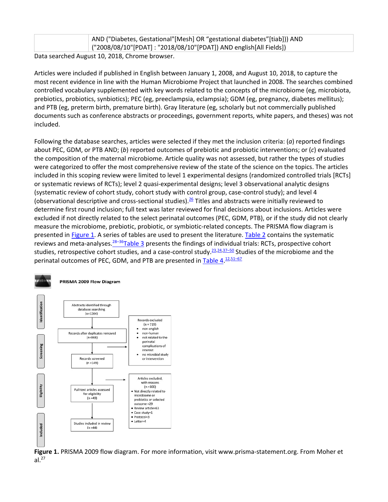|                                                 | AND ("Diabetes, Gestational" [Mesh] OR "gestational diabetes" [tiab])) AND |  |  |  |
|-------------------------------------------------|----------------------------------------------------------------------------|--|--|--|
|                                                 | ("2008/08/10"[PDAT] : "2018/08/10"[PDAT]) AND english[All Fields])         |  |  |  |
| Data securities Avevat 10, 2010, Chrome brownes |                                                                            |  |  |  |

Data searched August 10, 2018, Chrome browser.

Articles were included if published in English between January 1, 2008, and August 10, 2018, to capture the most recent evidence in line with the Human Microbiome Project that launched in 2008. The searches combined controlled vocabulary supplemented with key words related to the concepts of the microbiome (eg, microbiota, prebiotics, probiotics, synbiotics); PEC (eg, preeclampsia, eclampsia); GDM (eg, pregnancy, diabetes mellitus); and PTB (eg, preterm birth, premature birth). Gray literature (eg, scholarly but not commercially published documents such as conference abstracts or proceedings, government reports, white papers, and theses) was not included.

Following the database searches, articles were selected if they met the inclusion criteria: (*a*) reported findings about PEC, GDM, or PTB AND; (*b*) reported outcomes of prebiotic and probiotic interventions; or (*c*) evaluated the composition of the maternal microbiome. Article quality was not assessed, but rather the types of studies were categorized to offer the most comprehensive review of the state of the science on the topics. The articles included in this scoping review were limited to level 1 experimental designs (randomized controlled trials [RCTs] or systematic reviews of RCTs); level 2 quasi-experimental designs; level 3 observational analytic designs (systematic review of cohort study, cohort study with control group, case-control study); and level 4 (observational descriptive and cross-sectional studies).<sup>26</sup> Titles and abstracts were initially reviewed to determine first round inclusion; full text was later reviewed for final decisions about inclusions. Articles were excluded if not directly related to the select perinatal outcomes (PEC, GDM, PTB), or if the study did not clearly measure the microbiome, prebiotic, probiotic, or symbiotic-related concepts. The PRISMA flow diagram is presented in [Figure 1.](javascript:void(0)) A series of tables are used to present the literature. [Table 2](javascript:void(0)) contains the systematic reviews and meta-analyses. $28-36$ [Table 3](javascript:void(0)) presents the findings of individual trials: RCTs, prospective cohort studies, retrospective cohort studies, and a case-control study.<sup>23,[24,](https://journals.lww.com/jpnnjournal/fulltext/2019/01000/Through_the_Microbial_Looking_Glass__Premature.9.aspx#R24-9)[37–50](https://journals.lww.com/jpnnjournal/fulltext/2019/01000/Through_the_Microbial_Looking_Glass__Premature.9.aspx#R37-9)</sup> Studies of the microbiome and the perinatal outcomes of PEC, GDM, and PTB are presented in [Table 4.](javascript:void(0))<sup>[12,](https://journals.lww.com/jpnnjournal/fulltext/2019/01000/Through_the_Microbial_Looking_Glass__Premature.9.aspx#R12-9)[51–67](https://journals.lww.com/jpnnjournal/fulltext/2019/01000/Through_the_Microbial_Looking_Glass__Premature.9.aspx#R51-9)</sup>





**Figure 1.** PRISMA 2009 flow diagram. For more information, visit www.prisma-statement.org. From Moher et  $al.<sup>27</sup>$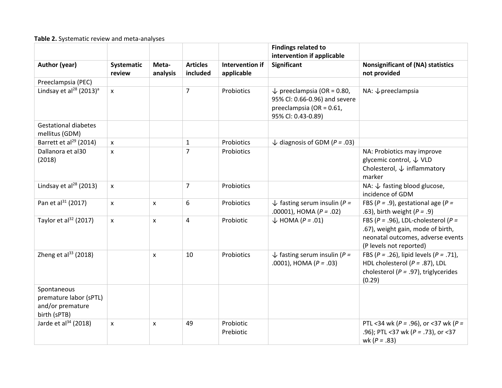#### **Table 2.** Systematic review and meta-analyses

|                                                                           |                      |                   |                             |                               | <b>Findings related to</b><br>intervention if applicable                                                                 |                                                                                                                                                 |
|---------------------------------------------------------------------------|----------------------|-------------------|-----------------------------|-------------------------------|--------------------------------------------------------------------------------------------------------------------------|-------------------------------------------------------------------------------------------------------------------------------------------------|
| Author (year)                                                             | Systematic<br>review | Meta-<br>analysis | <b>Articles</b><br>included | Intervention if<br>applicable | Significant                                                                                                              | <b>Nonsignificant of (NA) statistics</b><br>not provided                                                                                        |
| Preeclampsia (PEC)                                                        |                      |                   |                             |                               |                                                                                                                          |                                                                                                                                                 |
| Lindsay et al <sup>28</sup> (2013) <sup>a</sup>                           | $\pmb{\times}$       |                   | $\overline{7}$              | Probiotics                    | $\downarrow$ preeclampsia (OR = 0.80,<br>95% Cl: 0.66-0.96) and severe<br>preeclampsia (OR = 0.61,<br>95% Cl: 0.43-0.89) | NA: $\downarrow$ preeclampsia                                                                                                                   |
| <b>Gestational diabetes</b><br>mellitus (GDM)                             |                      |                   |                             |                               |                                                                                                                          |                                                                                                                                                 |
| Barrett et al <sup>29</sup> (2014)                                        | $\pmb{\times}$       |                   | $\mathbf{1}$                | Probiotics                    | $\downarrow$ diagnosis of GDM (P = .03)                                                                                  |                                                                                                                                                 |
| Dallanora et al30<br>(2018)                                               | $\mathsf{x}$         |                   | $\overline{7}$              | Probiotics                    |                                                                                                                          | NA: Probiotics may improve<br>glycemic control, ↓ VLD<br>Cholesterol, $\downarrow$ inflammatory<br>marker                                       |
| Lindsay et al <sup>28</sup> (2013)                                        | $\pmb{\times}$       |                   | 7                           | Probiotics                    |                                                                                                                          | NA: $\downarrow$ fasting blood glucose,<br>incidence of GDM                                                                                     |
| Pan et al <sup>31</sup> (2017)                                            | $\mathsf{x}$         | X                 | 6                           | Probiotics                    | $\downarrow$ fasting serum insulin (P =<br>.00001), HOMA ( $P = .02$ )                                                   | FBS ( $P = .9$ ), gestational age ( $P =$<br>.63), birth weight $(P = .9)$                                                                      |
| Taylor et al <sup>32</sup> (2017)                                         | $\mathsf{x}$         | $\mathsf{x}$      | $\overline{4}$              | Probiotic                     | $\downarrow$ HOMA (P = .01)                                                                                              | FBS ( $P = .96$ ), LDL-cholesterol ( $P =$<br>.67), weight gain, mode of birth,<br>neonatal outcomes, adverse events<br>(P levels not reported) |
| Zheng et al $^{33}$ (2018)                                                |                      | $\mathsf{x}$      | 10                          | Probiotics                    | $\downarrow$ fasting serum insulin (P =<br>.0001), HOMA ( $P = .03$ )                                                    | FBS ( $P = .26$ ), lipid levels ( $P = .71$ ),<br>HDL cholesterol ( $P = .87$ ), LDL<br>cholesterol ( $P = .97$ ), triglycerides<br>(0.29)      |
| Spontaneous<br>premature labor (sPTL)<br>and/or premature<br>birth (sPTB) |                      |                   |                             |                               |                                                                                                                          |                                                                                                                                                 |
| Jarde et al <sup>34</sup> (2018)                                          | $\mathsf{x}$         | $\mathsf{x}$      | 49                          | Probiotic<br>Prebiotic        |                                                                                                                          | PTL <34 wk ( $P = .96$ ), or <37 wk ( $P =$<br>.96); PTL <37 wk (P = .73), or <37<br>wk ( $P = .83$ )                                           |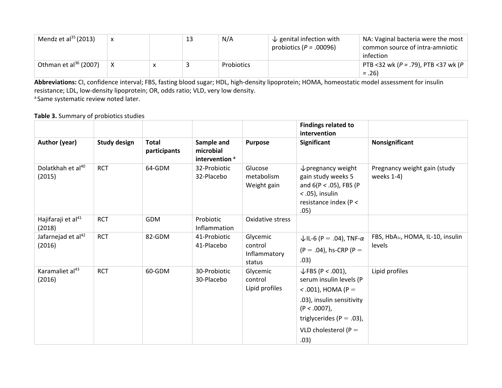| Mendz et al $^{35}$ (2013)  |  | 13 | N/A        | $\downarrow$ genital infection with<br>probiotics ( $P = .00096$ ) | NA: Vaginal bacteria were the most $\vert$<br>common source of intra-amniotic<br>infection |
|-----------------------------|--|----|------------|--------------------------------------------------------------------|--------------------------------------------------------------------------------------------|
| Othman et al $^{36}$ (2007) |  |    | Probiotics |                                                                    | PTB <32 wk (P = .79), PTB <37 wk (P<br>$= .26$                                             |

**Abbreviations:** CI, confidence interval; FBS, fasting blood sugar; HDL, high-density lipoprotein; HOMA, homeostatic model assessment for insulin resistance; LDL, low-density lipoprotein; OR, odds ratio; VLD, very low density. <sup>a</sup> Same systematic review noted later.

#### **Table 3.** Summary of probiotics studies

|                                          |                     |                              |                                                      |                                               | <b>Findings related to</b><br>intervention                                                                                                                                                         |                                                         |
|------------------------------------------|---------------------|------------------------------|------------------------------------------------------|-----------------------------------------------|----------------------------------------------------------------------------------------------------------------------------------------------------------------------------------------------------|---------------------------------------------------------|
| <b>Author (year)</b>                     | <b>Study design</b> | <b>Total</b><br>participants | Sample and<br>microbial<br>intervention <sup>a</sup> | <b>Purpose</b>                                | Significant                                                                                                                                                                                        | Nonsignificant                                          |
| Dolatkhah et al <sup>40</sup><br>(2015)  | <b>RCT</b>          | 64-GDM                       | 32-Probiotic<br>32-Placebo                           | Glucose<br>metabolism<br>Weight gain          | $\downarrow$ pregnancy weight<br>gain study weeks 5<br>and $6(P < .05)$ , FBS (P<br>$<$ .05), insulin<br>resistance index ( $P <$<br>.05)                                                          | Pregnancy weight gain (study<br>weeks 1-4)              |
| Hajifaraji et al <sup>41</sup><br>(2018) | <b>RCT</b>          | <b>GDM</b>                   | Probiotic<br>Inflammation                            | Oxidative stress                              |                                                                                                                                                                                                    |                                                         |
| Jafarnejad et al <sup>42</sup><br>(2016) | <b>RCT</b>          | 82-GDM                       | 41-Probiotic<br>41-Placebo                           | Glycemic<br>control<br>Inflammatory<br>status | $\downarrow$ IL-6 (P = .04), TNF- $\alpha$<br>$(P = .04)$ , hs-CRP $(P =$<br>.03)                                                                                                                  | FBS, HbA <sub>1c</sub> , HOMA, IL-10, insulin<br>levels |
| Karamaliet al <sup>43</sup><br>(2016)    | <b>RCT</b>          | 60-GDM                       | 30-Probiotic<br>30-Placebo                           | Glycemic<br>control<br>Lipid profiles         | $\downarrow$ FBS (P < .001),<br>serum insulin levels (P<br>$<$ .001), HOMA (P =<br>.03), insulin sensitivity<br>$(P < .0007)$ ,<br>triglycerides ( $P = .03$ ),<br>VLD cholesterol ( $P =$<br>.03) | Lipid profiles                                          |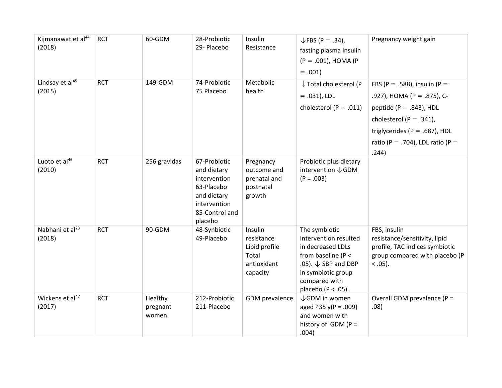| Kijmanawat et al <sup>44</sup><br>(2018) | <b>RCT</b> | 60-GDM                       | 28-Probiotic<br>29- Placebo                                                                                           | Insulin<br>Resistance                                                      | $\sqrt{FBS (P=.34)}$ ,<br>fasting plasma insulin<br>$(P = .001)$ , HOMA (P)<br>$= .001$                                                                                              | Pregnancy weight gain                                                                                                                                                                                  |
|------------------------------------------|------------|------------------------------|-----------------------------------------------------------------------------------------------------------------------|----------------------------------------------------------------------------|--------------------------------------------------------------------------------------------------------------------------------------------------------------------------------------|--------------------------------------------------------------------------------------------------------------------------------------------------------------------------------------------------------|
| Lindsay et al <sup>45</sup><br>(2015)    | <b>RCT</b> | 149-GDM                      | 74-Probiotic<br>75 Placebo                                                                                            | Metabolic<br>health                                                        | ↓ Total cholesterol (P<br>$= .031$ ), LDL<br>cholesterol ( $P = .011$ )                                                                                                              | FBS (P = .588), insulin (P =<br>.927), HOMA (P = .875), C-<br>peptide ( $P = .843$ ), HDL<br>cholesterol (P = .341),<br>triglycerides ( $P = .687$ ), HDL<br>ratio (P = .704), LDL ratio (P =<br>.244) |
| Luoto et al <sup>46</sup><br>(2010)      | <b>RCT</b> | 256 gravidas                 | 67-Probiotic<br>and dietary<br>intervention<br>63-Placebo<br>and dietary<br>intervention<br>85-Control and<br>placebo | Pregnancy<br>outcome and<br>prenatal and<br>postnatal<br>growth            | Probiotic plus dietary<br>intervention $\sqrt{2}$ GDM<br>$(P = .003)$                                                                                                                |                                                                                                                                                                                                        |
| Nabhani et al <sup>23</sup><br>(2018)    | <b>RCT</b> | 90-GDM                       | 48-Synbiotic<br>49-Placebo                                                                                            | Insulin<br>resistance<br>Lipid profile<br>Total<br>antioxidant<br>capacity | The symbiotic<br>intervention resulted<br>in decreased LDLs<br>from baseline (P <<br>.05). $\downarrow$ SBP and DBP<br>in symbiotic group<br>compared with<br>placebo ( $P < .05$ ). | FBS, insulin<br>resistance/sensitivity, lipid<br>profile, TAC indices symbiotic<br>group compared with placebo (P<br>$< .05$ ).                                                                        |
| Wickens et al <sup>47</sup><br>(2017)    | <b>RCT</b> | Healthy<br>pregnant<br>women | 212-Probiotic<br>211-Placebo                                                                                          | GDM prevalence                                                             | ↓GDM in women<br>aged $\geq$ 35 y(P = .009)<br>and women with<br>history of $GDM(P =$<br>.004)                                                                                       | Overall GDM prevalence (P =<br>.08)                                                                                                                                                                    |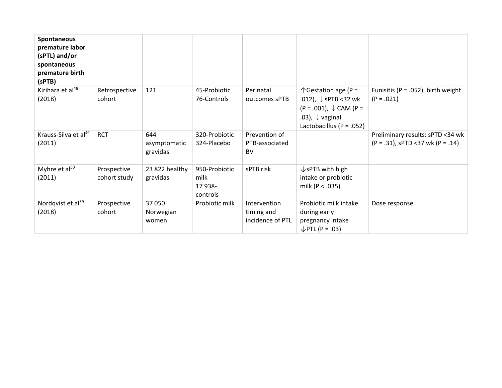| Spontaneous<br>premature labor<br>(sPTL) and/or<br>spontaneous<br>premature birth<br>(sPTB) |                             |                                 |                                              |                                                |                                                                                                                                                                        |                                                                           |
|---------------------------------------------------------------------------------------------|-----------------------------|---------------------------------|----------------------------------------------|------------------------------------------------|------------------------------------------------------------------------------------------------------------------------------------------------------------------------|---------------------------------------------------------------------------|
| Kirihara et al <sup>48</sup><br>(2018)                                                      | Retrospective<br>cohort     | 121                             | 45-Probiotic<br>76-Controls                  | Perinatal<br>outcomes sPTB                     | $\uparrow$ Gestation age (P =<br>.012), $\downarrow$ sPTB <32 wk<br>$(P = .001)$ , $\downarrow$ CAM (P =<br>.03), $\downarrow$ vaginal<br>Lactobacillus ( $P = .052$ ) | Funisitis ( $P = .052$ ), birth weight<br>$(P = .021)$                    |
| Krauss-Silva et al <sup>49</sup><br>(2011)                                                  | <b>RCT</b>                  | 644<br>asymptomatic<br>gravidas | 320-Probiotic<br>324-Placebo                 | Prevention of<br>PTB-associated<br><b>BV</b>   |                                                                                                                                                                        | Preliminary results: sPTD <34 wk<br>$(P = .31)$ , sPTD <37 wk $(P = .14)$ |
| Myhre et al <sup>50</sup><br>(2011)                                                         | Prospective<br>cohort study | 23 822 healthy<br>gravidas      | 950-Probiotic<br>milk<br>17 938-<br>controls | sPTB risk                                      | $\sqrt{s}$ PTB with high<br>intake or probiotic<br>milk ( $P < .035$ )                                                                                                 |                                                                           |
| Nordqvist et al <sup>39</sup><br>(2018)                                                     | Prospective<br>cohort       | 37 050<br>Norwegian<br>women    | Probiotic milk                               | Intervention<br>timing and<br>incidence of PTL | Probiotic milk intake<br>during early<br>pregnancy intake<br>$\downarrow$ PTL (P = .03)                                                                                | Dose response                                                             |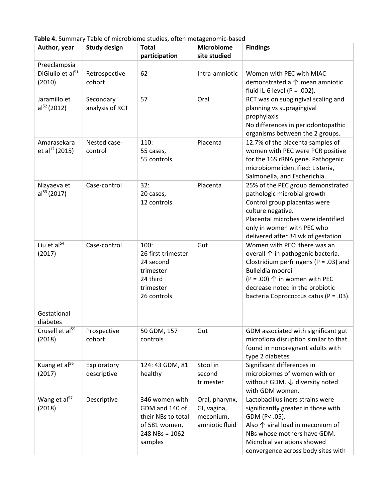**Table 4.** Summary Table of microbiome studies, often metagenomic-based

| Author, year                              | <b>Study design</b>          | <b>Total</b><br>participation                                                                            | <b>Microbiome</b><br>site studied                            | <b>Findings</b>                                                                                                                                                                                                                                            |
|-------------------------------------------|------------------------------|----------------------------------------------------------------------------------------------------------|--------------------------------------------------------------|------------------------------------------------------------------------------------------------------------------------------------------------------------------------------------------------------------------------------------------------------------|
| Preeclampsia                              |                              |                                                                                                          |                                                              |                                                                                                                                                                                                                                                            |
| DiGiulio et al <sup>51</sup><br>(2010)    | Retrospective<br>cohort      | 62                                                                                                       | Intra-amniotic                                               | Women with PEC with MIAC<br>demonstrated a $\uparrow$ mean amniotic<br>fluid IL-6 level (P = .002).                                                                                                                                                        |
| Jaramillo et<br>al <sup>52</sup> (2012)   | Secondary<br>analysis of RCT | 57                                                                                                       | Oral                                                         | RCT was on subgingival scaling and<br>planning vs supragingival<br>prophylaxis<br>No differences in periodontopathic<br>organisms between the 2 groups.                                                                                                    |
| Amarasekara<br>et al <sup>12</sup> (2015) | Nested case-<br>control      | 110:<br>55 cases,<br>55 controls                                                                         | Placenta                                                     | 12.7% of the placenta samples of<br>women with PEC were PCR positive<br>for the 16S rRNA gene. Pathogenic<br>microbiome identified: Listeria,<br>Salmonella, and Escherichia.                                                                              |
| Nizyaeva et<br>al <sup>53</sup> (2017)    | Case-control                 | 32:<br>20 cases,<br>12 controls                                                                          | Placenta                                                     | 25% of the PEC group demonstrated<br>pathologic microbial growth<br>Control group placentas were<br>culture negative.<br>Placental microbes were identified<br>only in women with PEC who<br>delivered after 34 wk of gestation                            |
| Liu et al <sup>54</sup><br>(2017)         | Case-control                 | 100:<br>26 first trimester<br>24 second<br>trimester<br>24 third<br>trimester<br>26 controls             | Gut                                                          | Women with PEC: there was an<br>overall 个 in pathogenic bacteria.<br>Clostridium perfringens ( $P = .03$ ) and<br>Bulleidia moorei<br>$(P = .00)$ $\uparrow$ in women with PEC<br>decrease noted in the probiotic<br>bacteria Coprococcus catus (P = .03). |
| Gestational<br>diabetes                   |                              |                                                                                                          |                                                              |                                                                                                                                                                                                                                                            |
| Crusell et al <sup>55</sup><br>(2018)     | Prospective<br>cohort        | 50 GDM, 157<br>controls                                                                                  | Gut                                                          | GDM associated with significant gut<br>microflora disruption similar to that<br>found in nonpregnant adults with<br>type 2 diabetes                                                                                                                        |
| Kuang et al <sup>56</sup><br>(2017)       | Exploratory<br>descriptive   | 124: 43 GDM, 81<br>healthy                                                                               | Stool in<br>second<br>trimester                              | Significant differences in<br>microbiomes of women with or<br>without GDM. $\downarrow$ diversity noted<br>with GDM women.                                                                                                                                 |
| Wang et al <sup>57</sup><br>(2018)        | Descriptive                  | 346 women with<br>GDM and 140 of<br>their NBs to total<br>of 581 women,<br>$248$ NBs = $1062$<br>samples | Oral, pharynx,<br>GI, vagina,<br>meconium,<br>amniotic fluid | Lactobacillus iners strains were<br>significantly greater in those with<br>GDM (P< .05).<br>Also $\uparrow$ viral load in meconium of<br>NBs whose mothers have GDM.<br>Microbial variations showed<br>convergence across body sites with                  |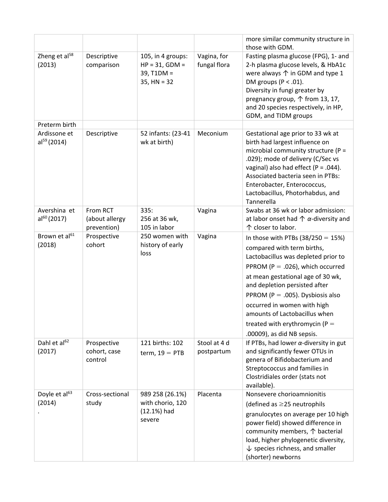|                                     |                                           |                                                                        |                             | more similar community structure in<br>those with GDM.                                                                                                                                                                                                                                                                                                                                    |
|-------------------------------------|-------------------------------------------|------------------------------------------------------------------------|-----------------------------|-------------------------------------------------------------------------------------------------------------------------------------------------------------------------------------------------------------------------------------------------------------------------------------------------------------------------------------------------------------------------------------------|
| Zheng et al <sup>58</sup><br>(2013) | Descriptive<br>comparison                 | 105, in 4 groups:<br>$HP = 31, GDM =$<br>$39, T1DM =$<br>$35, HN = 32$ | Vagina, for<br>fungal flora | Fasting plasma glucose (FPG), 1- and<br>2-h plasma glucose levels, & HbA1c<br>were always ↑ in GDM and type 1<br>DM groups ( $P < .01$ ).<br>Diversity in fungi greater by<br>pregnancy group, 个 from 13, 17,<br>and 20 species respectively, in HP,<br>GDM, and TIDM groups                                                                                                              |
| Preterm birth                       |                                           |                                                                        |                             |                                                                                                                                                                                                                                                                                                                                                                                           |
| Ardissone et<br>$al^{59}(2014)$     | Descriptive                               | 52 infants: (23-41<br>wk at birth)                                     | Meconium                    | Gestational age prior to 33 wk at<br>birth had largest influence on<br>microbial community structure (P =<br>.029); mode of delivery (C/Sec vs<br>vaginal) also had effect ( $P = .044$ ).<br>Associated bacteria seen in PTBs:<br>Enterobacter, Enterococcus,<br>Lactobacillus, Photorhabdus, and<br>Tannerella                                                                          |
| Avershina et<br>$al^{60}$ (2017)    | From RCT<br>(about allergy<br>prevention) | 335:<br>256 at 36 wk,<br>105 in labor                                  | Vagina                      | Swabs at 36 wk or labor admission:<br>at labor onset had $\uparrow \alpha$ -diversity and<br>↑ closer to labor.                                                                                                                                                                                                                                                                           |
| Brown et al <sup>61</sup><br>(2018) | Prospective<br>cohort                     | 250 women with<br>history of early<br>loss                             | Vagina                      | In those with PTBs $(38/250 = 15%)$<br>compared with term births,<br>Lactobacillus was depleted prior to<br>PPROM (P = .026), which occurred<br>at mean gestational age of 30 wk,<br>and depletion persisted after<br>PPROM (P = .005). Dysbiosis also<br>occurred in women with high<br>amounts of Lactobacillus when<br>treated with erythromycin ( $P =$<br>.00009), as did NB sepsis. |
| Dahl et al <sup>62</sup><br>(2017)  | Prospective<br>cohort, case<br>control    | 121 births: 102<br>term, $19 = PTB$                                    | Stool at 4 d<br>postpartum  | If PTBs, had lower $\alpha$ -diversity in gut<br>and significantly fewer OTUs in<br>genera of Bifidobacterium and<br>Streptococcus and families in<br>Clostridiales order (stats not<br>available).                                                                                                                                                                                       |
| Doyle et al <sup>63</sup><br>(2014) | Cross-sectional<br>study                  | 989 258 (26.1%)<br>with chorio, 120<br>$(12.1%)$ had<br>severe         | Placenta                    | Nonsevere chorioamnionitis<br>(defined as $\geq$ 25 neutrophils<br>granulocytes on average per 10 high<br>power field) showed difference in<br>community members, ↑ bacterial<br>load, higher phylogenetic diversity,<br>$\downarrow$ species richness, and smaller<br>(shorter) newborns                                                                                                 |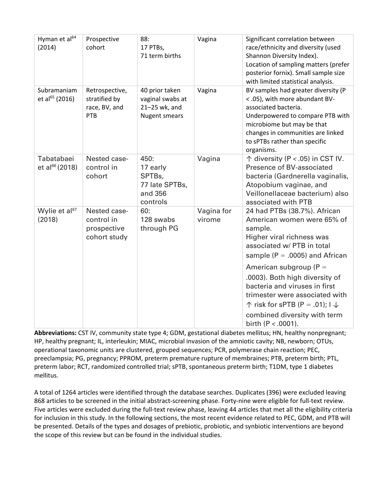| Hyman et al <sup>64</sup><br>(2014)       | Prospective<br>cohort                                     | 88:<br>17 PTBs,<br>71 term births                                           | Vagina               | Significant correlation between<br>race/ethnicity and diversity (used<br>Shannon Diversity Index).<br>Location of sampling matters (prefer<br>posterior fornix). Small sample size<br>with limited statistical analysis.                               |
|-------------------------------------------|-----------------------------------------------------------|-----------------------------------------------------------------------------|----------------------|--------------------------------------------------------------------------------------------------------------------------------------------------------------------------------------------------------------------------------------------------------|
| Subramaniam<br>et al <sup>65</sup> (2016) | Retrospective,<br>stratified by<br>race, BV, and<br>PTB   | 40 prior taken<br>vaginal swabs at<br>21-25 wk, and<br><b>Nugent smears</b> | Vagina               | BV samples had greater diversity (P<br><.05), with more abundant BV-<br>associated bacteria.<br>Underpowered to compare PTB with<br>microbiome but may be that<br>changes in communities are linked<br>to sPTBs rather than specific<br>organisms.     |
| Tabatabaei<br>et al <sup>66</sup> (2018)  | Nested case-<br>control in<br>cohort                      | 450:<br>17 early<br>SPTBs,<br>77 late SPTBs,<br>and 356<br>controls         | Vagina               | $\uparrow$ diversity (P < .05) in CST IV.<br>Presence of BV-associated<br>bacteria (Gardnerella vaginalis,<br>Atopobium vaginae, and<br>Veillonellaceae bacterium) also<br>associated with PTB                                                         |
| Wylie et al <sup>67</sup><br>(2018)       | Nested case-<br>control in<br>prospective<br>cohort study | 60:<br>128 swabs<br>through PG                                              | Vagina for<br>virome | 24 had PTBs (38.7%). African<br>American women were 65% of<br>sample.<br>Higher viral richness was<br>associated w/ PTB in total<br>sample ( $P = .0005$ ) and African                                                                                 |
|                                           |                                                           |                                                                             |                      | American subgroup ( $P =$<br>.0003). Both high diversity of<br>bacteria and viruses in first<br>trimester were associated with<br>$\uparrow$ risk for sPTB (P = .01); $\downarrow \downarrow$<br>combined diversity with term<br>birth $(P < .0001)$ . |

**Abbreviations:** CST IV, community state type 4; GDM, gestational diabetes mellitus; HN, healthy nonpregnant; HP, healthy pregnant; IL, interleukin; MIAC, microbial invasion of the amniotic cavity; NB, newborn; OTUs, operational taxonomic units are clustered, grouped sequences; PCR, polymerase chain reaction; PEC, preeclampsia; PG, pregnancy; PPROM, preterm premature rupture of membraines; PTB, preterm birth; PTL, preterm labor; RCT, randomized controlled trial; sPTB, spontaneous preterm birth; T1DM, type 1 diabetes mellitus.

A total of 1264 articles were identified through the database searches. Duplicates (396) were excluded leaving 868 articles to be screened in the initial abstract-screening phase. Forty-nine were eligible for full-text review. Five articles were excluded during the full-text review phase, leaving 44 articles that met all the eligibility criteria for inclusion in this study. In the following sections, the most recent evidence related to PEC, GDM, and PTB will be presented. Details of the types and dosages of prebiotic, probiotic, and synbiotic interventions are beyond the scope of this review but can be found in the individual studies.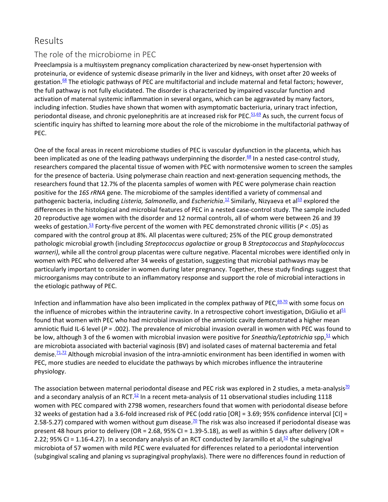# Results

#### The role of the microbiome in PEC

Preeclampsia is a multisystem pregnancy complication characterized by new-onset hypertension with proteinuria, or evidence of systemic disease primarily in the liver and kidneys, with onset after 20 weeks of gestation.<sup>68</sup> The etiologic pathways of PEC are multifactorial and include maternal and fetal factors; however, the full pathway is not fully elucidated. The disorder is characterized by impaired vascular function and activation of maternal systemic inflammation in several organs, which can be aggravated by many factors, including infection. Studies have shown that women with asymptomatic bacteriuria, urinary tract infection, periodontal disease, and chronic pyelonephritis are at increased risk for PEC.  $51,69$  $51,69$  As such, the current focus of scientific inquiry has shifted to learning more about the role of the microbiome in the multifactorial pathway of PEC.

One of the focal areas in recent microbiome studies of PEC is vascular dysfunction in the placenta, which has been implicated as one of the leading pathways underpinning the disorder.<sup>68</sup> In a nested case-control study, researchers compared the placental tissue of women with PEC with normotensive women to screen the samples for the presence of bacteria. Using polymerase chain reaction and next-generation sequencing methods, the researchers found that 12.7% of the placenta samples of women with PEC were polymerase chain reaction positive for the *16S rRNA* gene. The microbiome of the samples identified a variety of commensal and pathogenic bacteria, including *Listeria, Salmonella*, and *Escherichia*.<sup>[12](https://journals.lww.com/jpnnjournal/fulltext/2019/01000/Through_the_Microbial_Looking_Glass__Premature.9.aspx#R12-9)</sup> Similarly, Nizyaeva et al<sup>53</sup> explored the differences in the histological and microbial features of PEC in a nested case-control study. The sample included 20 reproductive age women with the disorder and 12 normal controls, all of whom were between 26 and 39 weeks of gestation.<sup>53</sup> Forty-five percent of the women with PEC demonstrated chronic villitis (*P* < .05) as compared with the control group at 8%. All placentas were cultured; 25% of the PEC group demonstrated pathologic microbial growth (including *Streptococcus agalactiae* or group B *Streptococcus* and *Staphylococcus warneri)*, while all the control group placentas were culture negative. Placental microbes were identified only in women with PEC who delivered after 34 weeks of gestation, suggesting that microbial pathways may be particularly important to consider in women during later pregnancy. Together, these study findings suggest that microorganisms may contribute to an inflammatory response and support the role of microbial interactions in the etiologic pathway of PEC.

Infection and inflammation have also been implicated in the complex pathway of PEC, $69,70$  $69,70$  with some focus on the influence of microbes within the intrauterine cavity. In a retrospective cohort investigation, DiGiulio et al $51$ found that women with PEC who had microbial invasion of the amniotic cavity demonstrated a higher mean amniotic fluid IL-6 level (*P* = .002). The prevalence of microbial invasion overall in women with PEC was found to be low, although 3 of the 6 women with microbial invasion were positive for *Sneathia/Leptotrichia* spp,<sup>51</sup> which are microbiota associated with bacterial vaginosis (BV) and isolated cases of maternal bacteremia and fetal demise.<sup>71,[72](https://journals.lww.com/jpnnjournal/fulltext/2019/01000/Through_the_Microbial_Looking_Glass__Premature.9.aspx#R72-9)</sup> Although microbial invasion of the intra-amniotic environment has been identified in women with PEC, more studies are needed to elucidate the pathways by which microbes influence the intrauterine physiology.

The association between maternal periodontal disease and PEC risk was explored in 2 studies, a meta-analysis<sup>70</sup> and a secondary analysis of an RCT. $52$  In a recent meta-analysis of 11 observational studies including 1118 women with PEC compared with 2798 women, researchers found that women with periodontal disease before 32 weeks of gestation had a 3.6-fold increased risk of PEC (odd ratio [OR] = 3.69; 95% confidence interval [CI] = 2.58-5.27) compared with women without gum disease.<sup>70</sup> The risk was also increased if periodontal disease was present 48 hours prior to delivery (OR = 2.68, 95% CI = 1.39-5.18), as well as within 5 days after delivery (OR = 2.22; 95% CI = 1.16-4.27). In a secondary analysis of an RCT conducted by Jaramillo et al,  $52$  the subgingival microbiota of 57 women with mild PEC were evaluated for differences related to a periodontal intervention (subgingival scaling and planing vs supragingival prophylaxis). There were no differences found in reduction of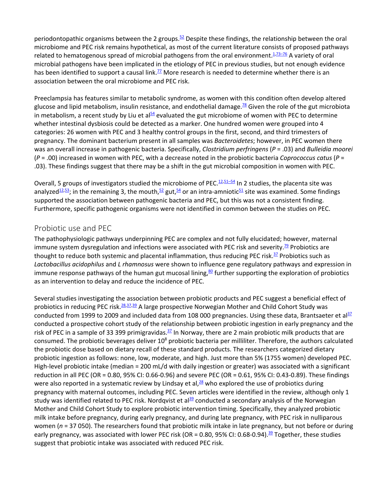periodontopathic organisms between the 2 groups.<sup>52</sup> Despite these findings, the relationship between the oral microbiome and PEC risk remains hypothetical, as most of the current literature consists of proposed pathways related to hematogenous spread of microbial pathogens from the oral environment.<sup>1,[73–76](https://journals.lww.com/jpnnjournal/fulltext/2019/01000/Through_the_Microbial_Looking_Glass__Premature.9.aspx#R73-9)</sup> A variety of oral microbial pathogens have been implicated in the etiology of PEC in previous studies, but not enough evidence has been identified to support a causal link.<sup>77</sup> More research is needed to determine whether there is an association between the oral microbiome and PEC risk.

Preeclampsia has features similar to metabolic syndrome, as women with this condition often develop altered glucose and lipid metabolism, insulin resistance, and endothelial damage.<sup>78</sup> Given the role of the gut microbiota in metabolism, a recent study by Liu et al $<sup>54</sup>$  evaluated the gut microbiome of women with PEC to determine</sup> whether intestinal dysbiosis could be detected as a marker. One hundred women were grouped into 4 categories: 26 women with PEC and 3 healthy control groups in the first, second, and third trimesters of pregnancy. The dominant bacterium present in all samples was *Bacteroidetes*; however, in PEC women there was an overall increase in pathogenic bacteria. Specifically, *Clostridium perfringens* (*P* = .03) and *Bulleidia moorei* (*P* = .00) increased in women with PEC, with a decrease noted in the probiotic bacteria *Coprococcus catus* (*P* = .03). These findings suggest that there may be a shift in the gut microbial composition in women with PEC.

Overall, 5 groups of investigators studied the microbiome of PEC.<sup>12,[51–54](https://journals.lww.com/jpnnjournal/fulltext/2019/01000/Through_the_Microbial_Looking_Glass__Premature.9.aspx#R51-9)</sup> In 2 studies, the placenta site was analyzed<sup>12,53</sup>; in the remaining 3, the mouth,<sup>52</sup> gut,<sup>54</sup> or an intra-amniotic<sup>51</sup> site was examined. Some findings supported the association between pathogenic bacteria and PEC, but this was not a consistent finding. Furthermore, specific pathogenic organisms were not identified in common between the studies on PEC.

#### Probiotic use and PEC

The pathophysiologic pathways underpinning PEC are complex and not fully elucidated; however, maternal immune system dysregulation and infections were associated with PEC risk and severity.<sup>79</sup> Probiotics are thought to reduce both systemic and placental inflammation, thus reducing PEC risk. $37$  Probiotics such as *Lactobacillus acidophilus* and *L rhamnosus* were shown to influence gene regulatory pathways and expression in immune response pathways of the human gut mucosal lining, $80$  further supporting the exploration of probiotics as an intervention to delay and reduce the incidence of PEC.

Several studies investigating the association between probiotic products and PEC suggest a beneficial effect of probiotics in reducing PEC risk.<sup>28,[37,](https://journals.lww.com/jpnnjournal/fulltext/2019/01000/Through_the_Microbial_Looking_Glass__Premature.9.aspx#R37-9)[39](https://journals.lww.com/jpnnjournal/fulltext/2019/01000/Through_the_Microbial_Looking_Glass__Premature.9.aspx#R39-9)</sup> A large prospective Norwegian Mother and Child Cohort Study was conducted from 1999 to 2009 and included data from 108 000 pregnancies. Using these data, Brantsaeter et al $^{32}$ conducted a prospective cohort study of the relationship between probiotic ingestion in early pregnancy and the risk of PEC in a sample of 33 399 primigravidas. $^{37}$  In Norway, there are 2 main probiotic milk products that are consumed. The probiotic beverages deliver 10<sup>8</sup> probiotic bacteria per milliliter. Therefore, the authors calculated the probiotic dose based on dietary recall of these standard products. The researchers categorized dietary probiotic ingestion as follows: none, low, moderate, and high. Just more than 5% (1755 women) developed PEC. High-level probiotic intake (median = 200 mL/d with daily ingestion or greater) was associated with a significant reduction in all PEC (OR = 0.80, 95% CI: 0.66-0.96) and severe PEC (OR = 0.61, 95% CI: 0.43-0.89). These findings were also reported in a systematic review by Lindsay et al, $28$  who explored the use of probiotics during pregnancy with maternal outcomes, including PEC. Seven articles were identified in the review, although only 1 study was identified related to PEC risk. Nordqvist et al $^{39}$  conducted a secondary analysis of the Norwegian Mother and Child Cohort Study to explore probiotic intervention timing. Specifically, they analyzed probiotic milk intake before pregnancy, during early pregnancy, and during late pregnancy, with PEC risk in nulliparous women (*n* = 37 050). The researchers found that probiotic milk intake in late pregnancy, but not before or during early pregnancy, was associated with lower PEC risk (OR = 0.80, 95% CI: 0.68-0.94).<sup>39</sup> Together, these studies suggest that probiotic intake was associated with reduced PEC risk.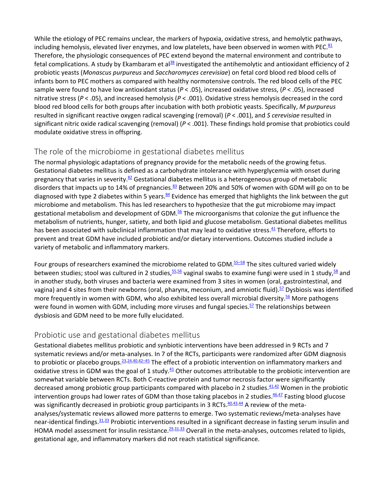While the etiology of PEC remains unclear, the markers of hypoxia, oxidative stress, and hemolytic pathways, including hemolysis, elevated liver enzymes, and low platelets, have been observed in women with PEC. $_{81}$ Therefore, the physiologic consequences of PEC extend beyond the maternal environment and contribute to fetal complications. A study by Ekambaram et al $^{38}$  investigated the antihemolytic and antioxidant efficiency of 2 probiotic yeasts (*Monascus purpureus* and *Saccharomyces cerevisiae*) on fetal cord blood red blood cells of infants born to PEC mothers as compared with healthy normotensive controls. The red blood cells of the PEC sample were found to have low antioxidant status (*P* < .05), increased oxidative stress, (*P* < .05), increased nitrative stress (*P* < .05), and increased hemolysis (*P* < .001). Oxidative stress hemolysis decreased in the cord blood red blood cells for both groups after incubation with both probiotic yeasts. Specifically, *M purpureus* resulted in significant reactive oxygen radical scavenging (removal) (*P* < .001), and *S cerevisiae* resulted in significant nitric oxide radical scavenging (removal) (*P* < .001). These findings hold promise that probiotics could modulate oxidative stress in offspring.

#### The role of the microbiome in gestational diabetes mellitus

The normal physiologic adaptations of pregnancy provide for the metabolic needs of the growing fetus. Gestational diabetes mellitus is defined as a carbohydrate intolerance with hyperglycemia with onset during pregnancy that varies in severity. $82$  Gestational diabetes mellitus is a heterogeneous group of metabolic disorders that impacts up to 14% of pregnancies.<sup>83</sup> Between 20% and 50% of women with GDM will go on to be diagnosed with type 2 diabetes within 5 years. $\frac{84}{3}$  Evidence has emerged that highlights the link between the gut microbiome and metabolism. This has led researchers to hypothesize that the gut microbiome may impact gestational metabolism and development of GDM.<sup>56</sup> The microorganisms that colonize the gut influence the metabolism of nutrients, hunger, satiety, and both lipid and glucose metabolism. Gestational diabetes mellitus has been associated with subclinical inflammation that may lead to oxidative stress.<sup>41</sup> Therefore, efforts to prevent and treat GDM have included probiotic and/or dietary interventions. Outcomes studied include a variety of metabolic and inflammatory markers.

Four groups of researchers examined the microbiome related to GDM.<sup>55–58</sup> The sites cultured varied widely between studies; stool was cultured in 2 studies, <sup>55,[56](https://journals.lww.com/jpnnjournal/fulltext/2019/01000/Through_the_Microbial_Looking_Glass__Premature.9.aspx#R56-9)</sup> vaginal swabs to examine fungi were used in 1 study, <sup>58</sup> and in another study, both viruses and bacteria were examined from 3 sites in women (oral, gastrointestinal, and vagina) and 4 sites from their newborns (oral, pharynx, meconium, and amniotic fluid).<sup>57</sup> Dysbiosis was identified more frequently in women with GDM, who also exhibited less overall microbial diversity.<sup>56</sup> More pathogens were found in women with GDM, including more viruses and fungal species. $57$  The relationships between dysbiosis and GDM need to be more fully elucidated.

#### Probiotic use and gestational diabetes mellitus

Gestational diabetes mellitus probiotic and synbiotic interventions have been addressed in 9 RCTs and 7 systematic reviews and/or meta-analyses. In 7 of the RCTs, participants were randomized after GDM diagnosis to probiotic or placebo groups.  $\frac{23,24,40,42-45}{2}$  $\frac{23,24,40,42-45}{2}$  $\frac{23,24,40,42-45}{2}$  $\frac{23,24,40,42-45}{2}$  The effect of a probiotic intervention on inflammatory markers and oxidative stress in GDM was the goal of 1 study. $41$  Other outcomes attributable to the probiotic intervention are somewhat variable between RCTs. Both C-reactive protein and tumor necrosis factor were significantly decreased among probiotic group participants compared with placebo in 2 studies. $41.42$  $41.42$  Women in the probiotic intervention groups had lower rates of GDM than those taking placebos in 2 studies.<sup>46,[47](https://journals.lww.com/jpnnjournal/fulltext/2019/01000/Through_the_Microbial_Looking_Glass__Premature.9.aspx#R47-9)</sup> Fasting blood glucose was significantly decreased in probiotic group participants in 3 RCTs.<sup>40,[43,](https://journals.lww.com/jpnnjournal/fulltext/2019/01000/Through_the_Microbial_Looking_Glass__Premature.9.aspx#R43-9)[44](https://journals.lww.com/jpnnjournal/fulltext/2019/01000/Through_the_Microbial_Looking_Glass__Premature.9.aspx#R44-9)</sup> A review of the metaanalyses/systematic reviews allowed more patterns to emerge. Two systematic reviews/meta-analyses have near-identical findings.<sup>31,[33](https://journals.lww.com/jpnnjournal/fulltext/2019/01000/Through_the_Microbial_Looking_Glass__Premature.9.aspx#R33-9)</sup> Probiotic interventions resulted in a significant decrease in fasting serum insulin and HOMA model assessment for insulin resistance.<sup>29,[31,](https://journals.lww.com/jpnnjournal/fulltext/2019/01000/Through_the_Microbial_Looking_Glass__Premature.9.aspx#R31-9)[33](https://journals.lww.com/jpnnjournal/fulltext/2019/01000/Through_the_Microbial_Looking_Glass__Premature.9.aspx#R33-9)</sup> Overall in the meta-analyses, outcomes related to lipids, gestational age, and inflammatory markers did not reach statistical significance.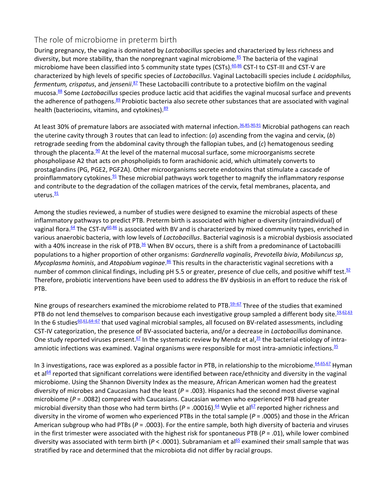#### The role of microbiome in preterm birth

During pregnancy, the vagina is dominated by *Lactobacillus* species and characterized by less richness and diversity, but more stability, than the nonpregnant vaginal microbiome.<sup>[85](https://journals.lww.com/jpnnjournal/fulltext/2019/01000/Through_the_Microbial_Looking_Glass__Premature.9.aspx#R85-9)</sup> The bacteria of the vaginal microbiome have been classified into 5 community state types (CSTs).<sup>60,[86](https://journals.lww.com/jpnnjournal/fulltext/2019/01000/Through_the_Microbial_Looking_Glass__Premature.9.aspx#R86-9)</sup> CST-I to CST-III and CST-V are characterized by high levels of specific species of *Lactobacillus*. Vaginal Lactobacilli species include *L acidophilus, fermentum, crispatus*, and *jensenii*. [87](https://journals.lww.com/jpnnjournal/fulltext/2019/01000/Through_the_Microbial_Looking_Glass__Premature.9.aspx#R87-9) These Lactobacilli contribute to a protective biofilm on the vaginal mucosa[.88](https://journals.lww.com/jpnnjournal/fulltext/2019/01000/Through_the_Microbial_Looking_Glass__Premature.9.aspx#R88-9) Some *Lactobacillus* species produce lactic acid that acidifies the vaginal mucosal surface and prevents the adherence of pathogens.<sup>89</sup> Probiotic bacteria also secrete other substances that are associated with vaginal health (bacteriocins, vitamins, and cytokines).<sup>89</sup>

At least 30% of premature labors are associated with maternal infection.<sup>36,[85,](https://journals.lww.com/jpnnjournal/fulltext/2019/01000/Through_the_Microbial_Looking_Glass__Premature.9.aspx#R85-9)[90,](https://journals.lww.com/jpnnjournal/fulltext/2019/01000/Through_the_Microbial_Looking_Glass__Premature.9.aspx#R90-9)[91](https://journals.lww.com/jpnnjournal/fulltext/2019/01000/Through_the_Microbial_Looking_Glass__Premature.9.aspx#R91-9)</sup> Microbial pathogens can reach the uterine cavity through 3 routes that can lead to infection: (*a*) ascending from the vagina and cervix, (*b*) retrograde seeding from the abdominal cavity through the fallopian tubes, and (*c*) hematogenous seeding through the placenta. $90$  At the level of the maternal mucosal surface, some microorganisms secrete phospholipase A2 that acts on phospholipids to form arachidonic acid, which ultimately converts to prostaglandins (PG, PGE2, PGF2A). Other microorganisms secrete endotoxins that stimulate a cascade of proinflammatory cytokines.<sup>91</sup> These microbial pathways work together to magnify the inflammatory response and contribute to the degradation of the collagen matrices of the cervix, fetal membranes, placenta, and uterus.<sup>91</sup>

Among the studies reviewed, a number of studies were designed to examine the microbial aspects of these inflammatory pathways to predict PTB. Preterm birth is associated with higher α-diversity (intraindividual) of vaginal flora.<sup>64</sup> The CST-IV<sup>60,[86](https://journals.lww.com/jpnnjournal/fulltext/2019/01000/Through_the_Microbial_Looking_Glass__Premature.9.aspx#R86-9)</sup> is associated with BV and is characterized by mixed community types, enriched in various anaerobic bacteria, with low levels of *Lactobacillus*. Bacterial vaginosis is a microbial dysbiosis associated with a 40% increase in the risk of PTB.<sup>36</sup> When BV occurs, there is a shift from a predominance of Lactobacilli populations to a higher proportion of other organisms: *Gardnerella vaginalis*, *Prevotella bivia*, *Mobiluncus sp*, Mycoplasma hominis, and Atopobium vaginae.<sup>[86](https://journals.lww.com/jpnnjournal/fulltext/2019/01000/Through_the_Microbial_Looking_Glass__Premature.9.aspx#R86-9)</sup> This results in the characteristic vaginal secretions with a number of common clinical findings, including pH 5.5 or greater, presence of clue cells, and positive whiff test. $92$ Therefore, probiotic interventions have been used to address the BV dysbiosis in an effort to reduce the risk of PTB.

Nine groups of researchers examined the microbiome related to PTB.<sup>59–67</sup> Three of the studies that examined PTB do not lend themselves to comparison because each investigative group sampled a different body site. 59,[62,](https://journals.lww.com/jpnnjournal/fulltext/2019/01000/Through_the_Microbial_Looking_Glass__Premature.9.aspx#R62-9)[63](https://journals.lww.com/jpnnjournal/fulltext/2019/01000/Through_the_Microbial_Looking_Glass__Premature.9.aspx#R63-9) In the 6 studies $60,61,64-67$  $60,61,64-67$  $60,61,64-67$  that used vaginal microbial samples, all focused on BV-related assessments, including CST-IV categorization, the presence of BV-associated bacteria, and/or a decrease in *Lactobacillus* dominance. One study reported viruses present.<sup>67</sup> In the systematic review by Mendz et al,  $35$  the bacterial etiology of intraamniotic infections was examined. Vaginal organisms were responsible for most intra-amniotic infections[.35](https://journals.lww.com/jpnnjournal/fulltext/2019/01000/Through_the_Microbial_Looking_Glass__Premature.9.aspx#R35-9)

In 3 investigations, race was explored as a possible factor in PTB, in relationship to the microbiome. [64,](https://journals.lww.com/jpnnjournal/fulltext/2019/01000/Through_the_Microbial_Looking_Glass__Premature.9.aspx#R64-9)[65,](https://journals.lww.com/jpnnjournal/fulltext/2019/01000/Through_the_Microbial_Looking_Glass__Premature.9.aspx#R65-9)[67](https://journals.lww.com/jpnnjournal/fulltext/2019/01000/Through_the_Microbial_Looking_Glass__Premature.9.aspx#R67-9) Hyman et al $^{64}$  reported that significant correlations were identified between race/ethnicity and diversity in the vaginal microbiome. Using the Shannon Diversity Index as the measure, African American women had the greatest diversity of microbes and Caucasians had the least (*P* = .003). Hispanics had the second most diverse vaginal microbiome (*P* = .0082) compared with Caucasians. Caucasian women who experienced PTB had greater microbial diversity than those who had term births ( $P = .00016$ ).<sup>64</sup> Wylie et al<sup>67</sup> reported higher richness and diversity in the virome of women who experienced PTBs in the total sample (*P* = .0005) and those in the African American subgroup who had PTBs ( $P = .0003$ ). For the entire sample, both high diversity of bacteria and viruses in the first trimester were associated with the highest risk for spontaneous PTB (*P* = .01), while lower combined diversity was associated with term birth ( $P < .0001$ ). Subramaniam et al<sup>65</sup> examined their small sample that was stratified by race and determined that the microbiota did not differ by racial groups.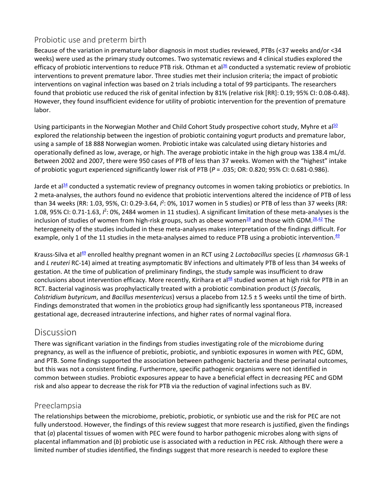#### Probiotic use and preterm birth

Because of the variation in premature labor diagnosis in most studies reviewed, PTBs (<37 weeks and/or <34 weeks) were used as the primary study outcomes. Two systematic reviews and 4 clinical studies explored the efficacy of probiotic interventions to reduce PTB risk. Othman et al $^{36}$  conducted a systematic review of probiotic interventions to prevent premature labor. Three studies met their inclusion criteria; the impact of probiotic interventions on vaginal infection was based on 2 trials including a total of 99 participants. The researchers found that probiotic use reduced the risk of genital infection by 81% (relative risk [RR]: 0.19; 95% CI: 0.08-0.48). However, they found insufficient evidence for utility of probiotic intervention for the prevention of premature labor.

Using participants in the Norwegian Mother and Child Cohort Study prospective cohort study, Myhre et al<sup>50</sup> explored the relationship between the ingestion of probiotic containing yogurt products and premature labor, using a sample of 18 888 Norwegian women. Probiotic intake was calculated using dietary histories and operationally defined as low, average, or high. The average probiotic intake in the high group was 138.4 mL/d. Between 2002 and 2007, there were 950 cases of PTB of less than 37 weeks. Women with the "highest" intake of probiotic yogurt experienced significantly lower risk of PTB (*P* = .035; OR: 0.820; 95% CI: 0.681-0.986).

Jarde et al<sup>34</sup> conducted a systematic review of pregnancy outcomes in women taking probiotics or prebiotics. In 2 meta-analyses, the authors found no evidence that probiotic interventions altered the incidence of PTB of less than 34 weeks (RR: 1.03, 95%, CI: 0.29-3.64,  $l^2$ : 0%, 1017 women in 5 studies) or PTB of less than 37 weeks (RR: 1.08, 95% CI: 0.71-1.63,  $l^2$ : 0%, 2484 women in 11 studies). A significant limitation of these meta-analyses is the inclusion of studies of women from high-risk groups, such as obese women<sup>28</sup> and those with GDM.<sup>28,[42](https://journals.lww.com/jpnnjournal/fulltext/2019/01000/Through_the_Microbial_Looking_Glass__Premature.9.aspx#R42-9)</sup> The heterogeneity of the studies included in these meta-analyses makes interpretation of the findings difficult. For example, only 1 of the 11 studies in the meta-analyses aimed to reduce PTB using a probiotic intervention. $49$ 

Krauss-Silva et a[l49](https://journals.lww.com/jpnnjournal/fulltext/2019/01000/Through_the_Microbial_Looking_Glass__Premature.9.aspx#R49-9) enrolled healthy pregnant women in an RCT using 2 *Lactobacillus* species (*L rhamnosus* GR-1 and *L reuteri* RC-14) aimed at treating asymptomatic BV infections and ultimately PTB of less than 34 weeks of gestation. At the time of publication of preliminary findings, the study sample was insufficient to draw conclusions about intervention efficacy. More recently, Kirihara et al $^{48}$  studied women at high risk for PTB in an RCT. Bacterial vaginosis was prophylactically treated with a probiotic combination product (*S faecalis, Colstridium butyricum*, and *Bacillus mesentericus*) versus a placebo from 12.5 ± 5 weeks until the time of birth. Findings demonstrated that women in the probiotics group had significantly less spontaneous PTB, increased gestational age, decreased intrauterine infections, and higher rates of normal vaginal flora.

## Discussion

There was significant variation in the findings from studies investigating role of the microbiome during pregnancy, as well as the influence of prebiotic, probiotic, and synbiotic exposures in women with PEC, GDM, and PTB. Some findings supported the association between pathogenic bacteria and these perinatal outcomes, but this was not a consistent finding. Furthermore, specific pathogenic organisms were not identified in common between studies. Probiotic exposures appear to have a beneficial effect in decreasing PEC and GDM risk and also appear to decrease the risk for PTB via the reduction of vaginal infections such as BV.

#### Preeclampsia

The relationships between the microbiome, prebiotic, probiotic, or synbiotic use and the risk for PEC are not fully understood. However, the findings of this review suggest that more research is justified, given the findings that (*a*) placental tissues of women with PEC were found to harbor pathogenic microbes along with signs of placental inflammation and (*b*) probiotic use is associated with a reduction in PEC risk. Although there were a limited number of studies identified, the findings suggest that more research is needed to explore these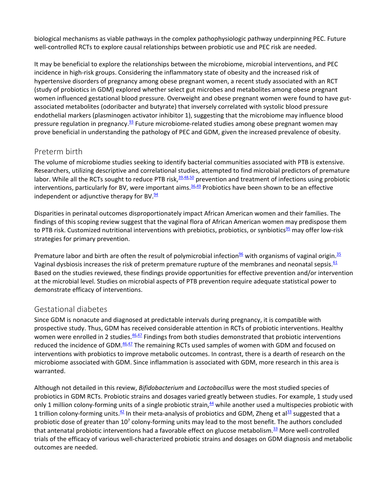biological mechanisms as viable pathways in the complex pathophysiologic pathway underpinning PEC. Future well-controlled RCTs to explore causal relationships between probiotic use and PEC risk are needed.

It may be beneficial to explore the relationships between the microbiome, microbial interventions, and PEC incidence in high-risk groups. Considering the inflammatory state of obesity and the increased risk of hypertensive disorders of pregnancy among obese pregnant women, a recent study associated with an RCT (study of probiotics in GDM) explored whether select gut microbes and metabolites among obese pregnant women influenced gestational blood pressure. Overweight and obese pregnant women were found to have gutassociated metabolites (odoribacter and butyrate) that inversely correlated with systolic blood pressure endothelial markers (plasminogen activator inhibitor 1), suggesting that the microbiome may influence blood pressure regulation in pregnancy[.93](https://journals.lww.com/jpnnjournal/fulltext/2019/01000/Through_the_Microbial_Looking_Glass__Premature.9.aspx#R93-9) Future microbiome-related studies among obese pregnant women may prove beneficial in understanding the pathology of PEC and GDM, given the increased prevalence of obesity.

#### Preterm birth

The volume of microbiome studies seeking to identify bacterial communities associated with PTB is extensive. Researchers, utilizing descriptive and correlational studies, attempted to find microbial predictors of premature labor. While all the RCTs sought to reduce PTB risk,  $39,48,50$  $39,48,50$  $39,48,50$  prevention and treatment of infections using probiotic interventions, particularly for BV, were important aims.<sup>36,[49](https://journals.lww.com/jpnnjournal/fulltext/2019/01000/Through_the_Microbial_Looking_Glass__Premature.9.aspx#R49-9)</sup> Probiotics have been shown to be an effective independent or adjunctive therapy for BV. $\frac{94}{94}$ 

Disparities in perinatal outcomes disproportionately impact African American women and their families. The findings of this scoping review suggest that the vaginal flora of African American women may predispose them to PTB risk. Customized nutritional interventions with prebiotics, probiotics, or synbiotics<sup>95</sup> may offer low-risk strategies for primary prevention.

Premature labor and birth are often the result of polymicrobial infection<sup>96</sup> with organisms of vaginal origin.<sup>35</sup> Vaginal dysbiosis increases the risk of preterm premature rupture of the membranes and neonatal sepsis.<sup>61</sup> Based on the studies reviewed, these findings provide opportunities for effective prevention and/or intervention at the microbial level. Studies on microbial aspects of PTB prevention require adequate statistical power to demonstrate efficacy of interventions.

#### Gestational diabetes

Since GDM is nonacute and diagnosed at predictable intervals during pregnancy, it is compatible with prospective study. Thus, GDM has received considerable attention in RCTs of probiotic interventions. Healthy women were enrolled in 2 studies. $46.47$  $46.47$  Findings from both studies demonstrated that probiotic interventions reduced the incidence of GDM.<sup>46,[47](https://journals.lww.com/jpnnjournal/fulltext/2019/01000/Through_the_Microbial_Looking_Glass__Premature.9.aspx#R47-9)</sup> The remaining RCTs used samples of women with GDM and focused on interventions with probiotics to improve metabolic outcomes. In contrast, there is a dearth of research on the microbiome associated with GDM. Since inflammation is associated with GDM, more research in this area is warranted.

Although not detailed in this review, *Bifidobacterium* and *Lactobacillus* were the most studied species of probiotics in GDM RCTs. Probiotic strains and dosages varied greatly between studies. For example, 1 study used only 1 million colony-forming units of a single probiotic strain,<sup>44</sup> while another used a multispecies probiotic with 1 trillion colony-forming units. $42$  In their meta-analysis of probiotics and GDM, Zheng et al $^{33}$  suggested that a probiotic dose of greater than  $10<sup>7</sup>$  colony-forming units may lead to the most benefit. The authors concluded that antenatal probiotic interventions had a favorable effect on glucose metabolism.<sup>33</sup> More well-controlled trials of the efficacy of various well-characterized probiotic strains and dosages on GDM diagnosis and metabolic outcomes are needed.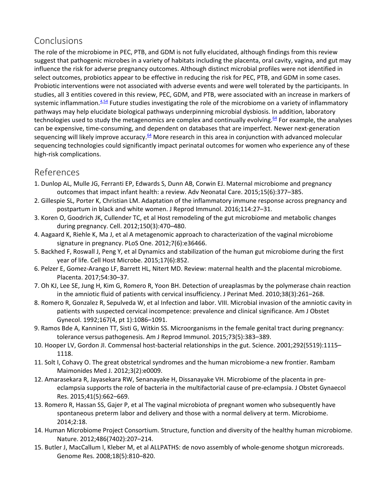# Conclusions

The role of the microbiome in PEC, PTB, and GDM is not fully elucidated, although findings from this review suggest that pathogenic microbes in a variety of habitats including the placenta, oral cavity, vagina, and gut may influence the risk for adverse pregnancy outcomes. Although distinct microbial profiles were not identified in select outcomes, probiotics appear to be effective in reducing the risk for PEC, PTB, and GDM in some cases. Probiotic interventions were not associated with adverse events and were well tolerated by the participants. In studies, all 3 entities covered in this review, PEC, GDM, and PTB, were associated with an increase in markers of systemic inflammation. $4.54$  $4.54$  Future studies investigating the role of the microbiome on a variety of inflammatory pathways may help elucidate biological pathways underpinning microbial dysbiosis. In addition, laboratory technologies used to study the metagenomics are complex and continually evolving. $64$  For example, the analyses can be expensive, time-consuming, and dependent on databases that are imperfect. Newer next-generation sequencing will likely improve accuracy.<sup>64</sup> More research in this area in conjunction with advanced molecular sequencing technologies could significantly impact perinatal outcomes for women who experience any of these high-risk complications.

# References

- 1. Dunlop AL, Mulle JG, Ferranti EP, Edwards S, Dunn AB, Corwin EJ. Maternal microbiome and pregnancy outcomes that impact infant health: a review. Adv Neonatal Care. 2015;15(6):377–385.
- 2. Gillespie SL, Porter K, Christian LM. Adaptation of the inflammatory immune response across pregnancy and postpartum in black and white women. J Reprod Immunol. 2016;114:27–31.
- 3. Koren O, Goodrich JK, Cullender TC, et al Host remodeling of the gut microbiome and metabolic changes during pregnancy. Cell. 2012;150(3):470–480.
- 4. Aagaard K, Riehle K, Ma J, et al A metagenomic approach to characterization of the vaginal microbiome signature in pregnancy. PLoS One. 2012;7(6):e36466.
- 5. Backhed F, Roswall J, Peng Y, et al Dynamics and stabilization of the human gut microbiome during the first year of life. Cell Host Microbe. 2015;17(6):852.
- 6. Pelzer E, Gomez-Arango LF, Barrett HL, Nitert MD. Review: maternal health and the placental microbiome. Placenta. 2017;54:30–37.
- 7. Oh KJ, Lee SE, Jung H, Kim G, Romero R, Yoon BH. Detection of ureaplasmas by the polymerase chain reaction in the amniotic fluid of patients with cervical insufficiency. J Perinat Med. 2010;38(3):261–268.
- 8. Romero R, Gonzalez R, Sepulveda W, et al Infection and labor. VIII. Microbial invasion of the amniotic cavity in patients with suspected cervical incompetence: prevalence and clinical significance. Am J Obstet Gynecol. 1992;167(4, pt 1):1086–1091.
- 9. Ramos Bde A, Kanninen TT, Sisti G, Witkin SS. Microorganisms in the female genital tract during pregnancy: tolerance versus pathogenesis. Am J Reprod Immunol. 2015;73(5):383–389.
- 10. Hooper LV, Gordon JI. Commensal host-bacterial relationships in the gut. Science. 2001;292(5519):1115– 1118.
- 11. Solt I, Cohavy O. The great obstetrical syndromes and the human microbiome-a new frontier. Rambam Maimonides Med J. 2012;3(2):e0009.
- 12. Amarasekara R, Jayasekara RW, Senanayake H, Dissanayake VH. Microbiome of the placenta in preeclampsia supports the role of bacteria in the multifactorial cause of pre-eclampsia. J Obstet Gynaecol Res. 2015;41(5):662–669.
- 13. Romero R, Hassan SS, Gajer P, et al The vaginal microbiota of pregnant women who subsequently have spontaneous preterm labor and delivery and those with a normal delivery at term. Microbiome. 2014;2:18.
- 14. Human Microbiome Project Consortium. Structure, function and diversity of the healthy human microbiome. Nature. 2012;486(7402):207–214.
- 15. Butler J, MacCallum I, Kleber M, et al ALLPATHS: de novo assembly of whole-genome shotgun microreads. Genome Res. 2008;18(5):810–820.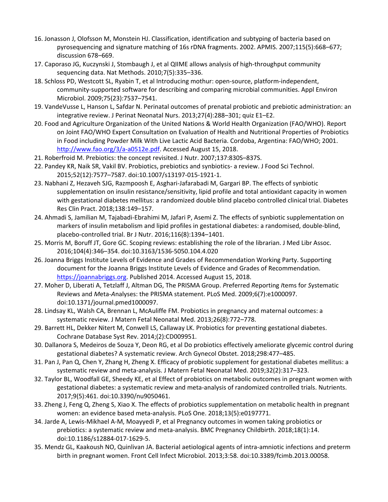- 16. Jonasson J, Olofsson M, Monstein HJ. Classification, identification and subtyping of bacteria based on pyrosequencing and signature matching of 16s rDNA fragments. 2002. APMIS. 2007;115(5):668–677; discussion 678–669.
- 17. Caporaso JG, Kuczynski J, Stombaugh J, et al QIIME allows analysis of high-throughput community sequencing data. Nat Methods. 2010;7(5):335–336.
- 18. Schloss PD, Westcott SL, Ryabin T, et al Introducing mothur: open-source, platform-independent, community-supported software for describing and comparing microbial communities. Appl Environ Microbiol. 2009;75(23):7537–7541.
- 19. VandeVusse L, Hanson L, Safdar N. Perinatal outcomes of prenatal probiotic and prebiotic administration: an integrative review. J Perinat Neonatal Nurs. 2013;27(4):288–301; quiz E1–E2.
- 20. Food and Agriculture Organization of the United Nations & World Health Organization (FAO/WHO). Report on Joint FAO/WHO Expert Consultation on Evaluation of Health and Nutritional Properties of Probiotics in Food including Powder Milk With Live Lactic Acid Bacteria. Cordoba, Argentina: FAO/WHO; 2001. [http://www.fao.org/3/a-a0512e.pdf.](http://www.fao.org/3/a-a0512e.pdf) Accessed August 15, 2018.
- 21. Roberfroid M. Prebiotics: the concept revisited. J Nutr. 2007;137:830S–837S.
- 22. Pandey KR, Naik SR, Vakil BV. Probiotics, prebiotics and synbiotics- a review. J Food Sci Technol. 2015;52(12):7577–7587. doi:10.1007/s13197-015-1921-1.
- 23. Nabhani Z, Hezaveh SJG, Razmpoosh E, Asghari-Jafarabadi M, Gargari BP. The effects of synbiotic supplementation on insulin resistance/sensitivity, lipid profile and total antioxidant capacity in women with gestational diabetes mellitus: a randomized double blind placebo controlled clinical trial. Diabetes Res Clin Pract. 2018;138:149–157.
- 24. Ahmadi S, Jamilian M, Tajabadi-Ebrahimi M, Jafari P, Asemi Z. The effects of synbiotic supplementation on markers of insulin metabolism and lipid profiles in gestational diabetes: a randomised, double-blind, placebo-controlled trial. Br J Nutr. 2016;116(8):1394–1401.
- 25. Morris M, Boruff JT, Gore GC. Scoping reviews: establishing the role of the librarian. J Med Libr Assoc. 2016;104(4):346–354. doi:10.3163/1536-5050.104.4.020
- 26. Joanna Briggs Institute Levels of Evidence and Grades of Recommendation Working Party. Supporting document for the Joanna Briggs Institute Levels of Evidence and Grades of Recommendation. [https://joannabriggs.org.](https://joannabriggs.org/) Published 2014. Accessed August 15, 2018.
- 27. Moher D, Liberati A, Tetzlaff J, Altman DG, The PRISMA Group. *P*referred *R*eporting *I*tems for *S*ystematic Reviews and *M*eta-*A*nalyses: the PRISMA statement. PLoS Med. 2009;6(7):e1000097. doi:10.1371/journal.pmed1000097.
- 28. Lindsay KL, Walsh CA, Brennan L, McAuliffe FM. Probiotics in pregnancy and maternal outcomes: a systematic review. J Matern Fetal Neonatal Med. 2013;26(8):772–778.
- 29. Barrett HL, Dekker Nitert M, Conwell LS, Callaway LK. Probiotics for preventing gestational diabetes. Cochrane Database Syst Rev. 2014;(2):CD009951.
- 30. Dallanora S, Medeiros de Souza Y, Deon RG, et al Do probiotics effectively ameliorate glycemic control during gestational diabetes? A systematic review. Arch Gynecol Obstet. 2018;298:477–485.
- 31. Pan J, Pan Q, Chen Y, Zhang H, Zheng X. Efficacy of probiotic supplement for gestational diabetes mellitus: a systematic review and meta-analysis. J Matern Fetal Neonatal Med. 2019;32(2):317–323.
- 32. Taylor BL, Woodfall GE, Sheedy KE, et al Effect of probiotics on metabolic outcomes in pregnant women with gestational diabetes: a systematic review and meta-analysis of randomized controlled trials. Nutrients. 2017;9(5):461. doi:10.3390/nu9050461.
- 33. Zheng J, Feng Q, Zheng S, Xiao X. The effects of probiotics supplementation on metabolic health in pregnant women: an evidence based meta-analysis. PLoS One. 2018;13(5):e0197771.
- 34. Jarde A, Lewis-Mikhael A-M, Moayyedi P, et al Pregnancy outcomes in women taking probiotics or prebiotics: a systematic review and meta-analysis. BMC Pregnancy Childbirth. 2018;18(1):14. doi:10.1186/s12884-017-1629-5.
- 35. Mendz GL, Kaakoush NO, Quinlivan JA. Bacterial aetiological agents of intra-amniotic infections and preterm birth in pregnant women. Front Cell Infect Microbiol. 2013;3:58. doi:10.3389/fcimb.2013.00058.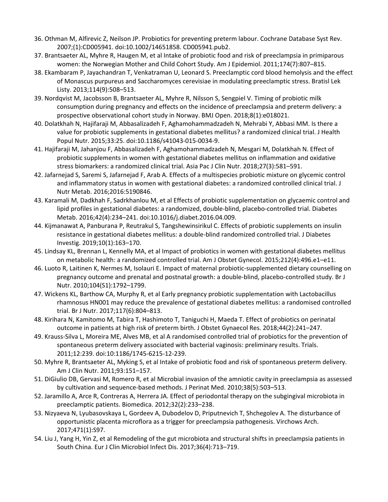- 36. Othman M, Alfirevic Z, Neilson JP. Probiotics for preventing preterm labour. Cochrane Database Syst Rev. 2007;(1):CD005941. doi:10.1002/14651858. CD005941.pub2.
- 37. Brantsaeter AL, Myhre R, Haugen M, et al Intake of probiotic food and risk of preeclampsia in primiparous women: the Norwegian Mother and Child Cohort Study. Am J Epidemiol. 2011;174(7):807–815.
- 38. Ekambaram P, Jayachandran T, Venkatraman U, Leonard S. Preeclamptic cord blood hemolysis and the effect of Monascus purpureus and Saccharomyces cerevisiae in modulating preeclamptic stress. Bratisl Lek Listy. 2013;114(9):508–513.
- 39. Nordqvist M, Jacobsson B, Brantsaeter AL, Myhre R, Nilsson S, Sengpiel V. Timing of probiotic milk consumption during pregnancy and effects on the incidence of preeclampsia and preterm delivery: a prospective observational cohort study in Norway. BMJ Open. 2018;8(1):e018021.
- 40. Dolatkhah N, Hajifaraji M, Abbasalizadeh F, Aghamohammadzadeh N, Mehrabi Y, Abbasi MM. Is there a value for probiotic supplements in gestational diabetes mellitus? a randomized clinical trial. J Health Popul Nutr. 2015;33:25. doi:10.1186/s41043-015-0034-9.
- 41. Hajifaraji M, Jahanjou F, Abbasalizadeh F, Aghamohammadzadeh N, Mesgari M, Dolatkhah N. Effect of probiotic supplements in women with gestational diabetes mellitus on inflammation and oxidative stress biomarkers: a randomized clinical trial. Asia Pac J Clin Nutr. 2018;27(3):581–591.
- 42. Jafarnejad S, Saremi S, Jafarnejad F, Arab A. Effects of a multispecies probiotic mixture on glycemic control and inflammatory status in women with gestational diabetes: a randomized controlled clinical trial. J Nutr Metab. 2016;2016:5190846.
- 43. Karamali M, Dadkhah F, Sadrkhanlou M, et al Effects of probiotic supplementation on glycaemic control and lipid profiles in gestational diabetes: a randomized, double-blind, placebo-controlled trial. Diabetes Metab. 2016;42(4):234–241. doi:10.1016/j.diabet.2016.04.009.
- 44. Kijmanawat A, Panburana P, Reutrakul S, Tangshewinsirikul C. Effects of probiotic supplements on insulin resistance in gestational diabetes mellitus: a double-blind randomized controlled trial. J Diabetes Investig. 2019;10(1):163–170.
- 45. Lindsay KL, Brennan L, Kennelly MA, et al Impact of probiotics in women with gestational diabetes mellitus on metabolic health: a randomized controlled trial. Am J Obstet Gynecol. 2015;212(4):496.e1–e11.
- 46. Luoto R, Laitinen K, Nermes M, Isolauri E. Impact of maternal probiotic-supplemented dietary counselling on pregnancy outcome and prenatal and postnatal growth: a double-blind, placebo-controlled study. Br J Nutr. 2010;104(S1):1792–1799.
- 47. Wickens KL, Barthow CA, Murphy R, et al Early pregnancy probiotic supplementation with Lactobacillus rhamnosus HN001 may reduce the prevalence of gestational diabetes mellitus: a randomised controlled trial. Br J Nutr. 2017;117(6):804–813.
- 48. Kirihara N, Kamitomo M, Tabira T, Hashimoto T, Taniguchi H, Maeda T. Effect of probiotics on perinatal outcome in patients at high risk of preterm birth. J Obstet Gynaecol Res. 2018;44(2):241–247.
- 49. Krauss-Silva L, Moreira ME, Alves MB, et al A randomised controlled trial of probiotics for the prevention of spontaneous preterm delivery associated with bacterial vaginosis: preliminary results. Trials. 2011;12:239. doi:10:1186/1745-6215-12-239.
- 50. Myhre R, Brantsaeter AL, Myking S, et al Intake of probiotic food and risk of spontaneous preterm delivery. Am J Clin Nutr. 2011;93:151–157.
- 51. DiGiulio DB, Gervasi M, Romero R, et al Microbial invasion of the amniotic cavity in preeclampsia as assessed by cultivation and sequence-based methods. J Perinat Med. 2010;38(5):503–513.
- 52. Jaramillo A, Arce R, Contreras A, Herrera JA. Effect of periodontal therapy on the subgingival microbiota in preeclamptic patients. Biomedica. 2012;32(2):233–238.
- 53. Nizyaeva N, Lyubasovskaya L, Gordeev A, Dubodelov D, Priputnevich T, Shchegolev A. The disturbance of opportunistic placenta microflora as a trigger for preeclampsia pathogenesis. Virchows Arch. 2017;471(1):S97.
- 54. Liu J, Yang H, Yin Z, et al Remodeling of the gut microbiota and structural shifts in preeclampsia patients in South China. Eur J Clin Microbiol Infect Dis. 2017;36(4):713–719.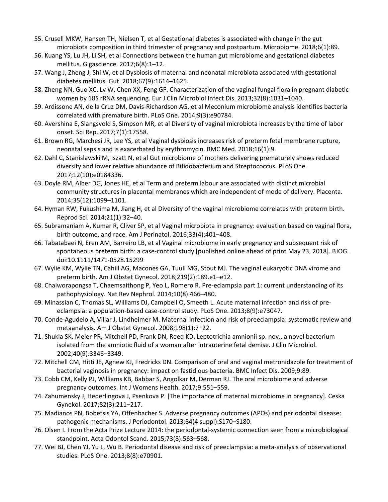- 55. Crusell MKW, Hansen TH, Nielsen T, et al Gestational diabetes is associated with change in the gut microbiota composition in third trimester of pregnancy and postpartum. Microbiome. 2018;6(1):89.
- 56. Kuang YS, Lu JH, Li SH, et al Connections between the human gut microbiome and gestational diabetes mellitus. Gigascience. 2017;6(8):1–12.
- 57. Wang J, Zheng J, Shi W, et al Dysbiosis of maternal and neonatal microbiota associated with gestational diabetes mellitus. Gut. 2018;67(9):1614–1625.
- 58. Zheng NN, Guo XC, Lv W, Chen XX, Feng GF. Characterization of the vaginal fungal flora in pregnant diabetic women by 18S rRNA sequencing. Eur J Clin Microbiol Infect Dis. 2013;32(8):1031–1040.
- 59. Ardissone AN, de la Cruz DM, Davis-Richardson AG, et al Meconium microbiome analysis identifies bacteria correlated with premature birth. PLoS One. 2014;9(3):e90784.
- 60. Avershina E, Slangsvold S, Simpson MR, et al Diversity of vaginal microbiota increases by the time of labor onset. Sci Rep. 2017;7(1):17558.
- 61. Brown RG, Marchesi JR, Lee YS, et al Vaginal dysbiosis increases risk of preterm fetal membrane rupture, neonatal sepsis and is exacerbated by erythromycin. BMC Med. 2018;16(1):9.
- 62. Dahl C, Stanislawski M, Iszatt N, et al Gut microbiome of mothers delivering prematurely shows reduced diversity and lower relative abundance of Bifidobacterium and Streptococcus. PLoS One. 2017;12(10):e0184336.
- 63. Doyle RM, Alber DG, Jones HE, et al Term and preterm labour are associated with distinct microbial community structures in placental membranes which are independent of mode of delivery. Placenta. 2014;35(12):1099–1101.
- 64. Hyman RW, Fukushima M, Jiang H, et al Diversity of the vaginal microbiome correlates with preterm birth. Reprod Sci. 2014;21(1):32–40.
- 65. Subramaniam A, Kumar R, Cliver SP, et al Vaginal microbiota in pregnancy: evaluation based on vaginal flora, birth outcome, and race. Am J Perinatol. 2016;33(4):401–408.
- 66. Tabatabaei N, Eren AM, Barreiro LB, et al Vaginal microbiome in early pregnancy and subsequent risk of spontaneous preterm birth: a case-control study [published online ahead of print May 23, 2018]. BJOG. doi:10.1111/1471-0528.15299
- 67. Wylie KM, Wylie TN, Cahill AG, Macones GA, Tuuli MG, Stout MJ. The vaginal eukaryotic DNA virome and preterm birth. Am J Obstet Gynecol. 2018;219(2):189.e1–e12.
- 68. Chaiworapongsa T, Chaemsaithong P, Yeo L, Romero R. Pre-eclampsia part 1: current understanding of its pathophysiology. Nat Rev Nephrol. 2014;10(8):466–480.
- 69. Minassian C, Thomas SL, Williams DJ, Campbell O, Smeeth L. Acute maternal infection and risk of preeclampsia: a population-based case-control study. PLoS One. 2013;8(9):e73047.
- 70. Conde-Agudelo A, Villar J, Lindheimer M. Maternal infection and risk of preeclampsia: systematic review and metaanalysis. Am J Obstet Gynecol. 2008;198(1):7–22.
- 71. Shukla SK, Meier PR, Mitchell PD, Frank DN, Reed KD. Leptotrichia amnionii sp. nov., a novel bacterium isolated from the amniotic fluid of a woman after intrauterine fetal demise. J Clin Microbiol. 2002;40(9):3346–3349.
- 72. Mitchell CM, Hitti JE, Agnew KJ, Fredricks DN. Comparison of oral and vaginal metronidazole for treatment of bacterial vaginosis in pregnancy: impact on fastidious bacteria. BMC Infect Dis. 2009;9:89.
- 73. Cobb CM, Kelly PJ, Williams KB, Babbar S, Angolkar M, Derman RJ. The oral microbiome and adverse pregnancy outcomes. Int J Womens Health. 2017;9:551–559.
- 74. Zahumensky J, Hederlingova J, Psenkova P. [The importance of maternal microbiome in pregnancy]. Ceska Gynekol. 2017;82(3):211–217.
- 75. Madianos PN, Bobetsis YA, Offenbacher S. Adverse pregnancy outcomes (APOs) and periodontal disease: pathogenic mechanisms. J Periodontol. 2013;84(4 suppl):S170–S180.
- 76. Olsen I. From the Acta Prize Lecture 2014: the periodontal-systemic connection seen from a microbiological standpoint. Acta Odontol Scand. 2015;73(8):563–568.
- 77. Wei BJ, Chen YJ, Yu L, Wu B. Periodontal disease and risk of preeclampsia: a meta-analysis of observational studies. PLoS One. 2013;8(8):e70901.